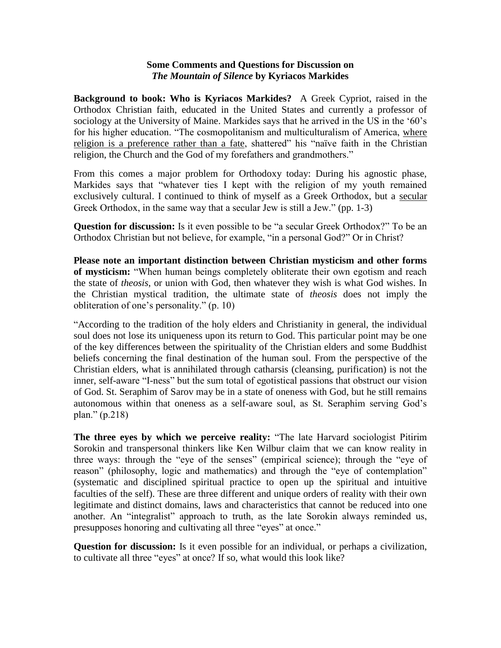## **Some Comments and Questions for Discussion on**  *The Mountain of Silence* **by Kyriacos Markides**

**Background to book: Who is Kyriacos Markides?** A Greek Cypriot, raised in the Orthodox Christian faith, educated in the United States and currently a professor of sociology at the University of Maine. Markides says that he arrived in the US in the '60's for his higher education. "The cosmopolitanism and multiculturalism of America, where religion is a preference rather than a fate, shattered" his "naïve faith in the Christian religion, the Church and the God of my forefathers and grandmothers."

From this comes a major problem for Orthodoxy today: During his agnostic phase, Markides says that "whatever ties I kept with the religion of my youth remained exclusively cultural. I continued to think of myself as a Greek Orthodox, but a secular Greek Orthodox, in the same way that a secular Jew is still a Jew." (pp. 1-3)

**Question for discussion:** Is it even possible to be "a secular Greek Orthodox?" To be an Orthodox Christian but not believe, for example, "in a personal God?" Or in Christ?

**Please note an important distinction between Christian mysticism and other forms of mysticism:** "When human beings completely obliterate their own egotism and reach the state of *theosis*, or union with God, then whatever they wish is what God wishes. In the Christian mystical tradition, the ultimate state of *theosis* does not imply the obliteration of one"s personality." (p. 10)

"According to the tradition of the holy elders and Christianity in general, the individual soul does not lose its uniqueness upon its return to God. This particular point may be one of the key differences between the spirituality of the Christian elders and some Buddhist beliefs concerning the final destination of the human soul. From the perspective of the Christian elders, what is annihilated through catharsis (cleansing, purification) is not the inner, self-aware "I-ness" but the sum total of egotistical passions that obstruct our vision of God. St. Seraphim of Sarov may be in a state of oneness with God, but he still remains autonomous within that oneness as a self-aware soul, as St. Seraphim serving God"s plan." (p.218)

**The three eyes by which we perceive reality:** "The late Harvard sociologist Pitirim Sorokin and transpersonal thinkers like Ken Wilbur claim that we can know reality in three ways: through the "eye of the senses" (empirical science); through the "eye of reason" (philosophy, logic and mathematics) and through the "eye of contemplation" (systematic and disciplined spiritual practice to open up the spiritual and intuitive faculties of the self). These are three different and unique orders of reality with their own legitimate and distinct domains, laws and characteristics that cannot be reduced into one another. An "integralist" approach to truth, as the late Sorokin always reminded us, presupposes honoring and cultivating all three "eyes" at once."

**Question for discussion:** Is it even possible for an individual, or perhaps a civilization, to cultivate all three "eyes" at once? If so, what would this look like?